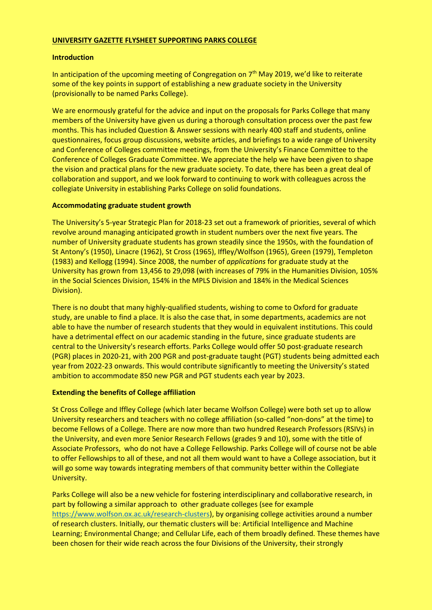#### **UNIVERSITY GAZETTE FLYSHEET SUPPORTING PARKS COLLEGE**

#### **Introduction**

In anticipation of the upcoming meeting of Congregation on 7<sup>th</sup> May 2019, we'd like to reiterate some of the key points in support of establishing a new graduate society in the University (provisionally to be named Parks College).

We are enormously grateful for the advice and input on the proposals for Parks College that many members of the University have given us during a thorough consultation process over the past few months. This has included Question & Answer sessions with nearly 400 staff and students, online questionnaires, focus group discussions, website articles, and briefings to a wide range of University and Conference of Colleges committee meetings, from the University's Finance Committee to the Conference of Colleges Graduate Committee. We appreciate the help we have been given to shape the vision and practical plans for the new graduate society. To date, there has been a great deal of collaboration and support, and we look forward to continuing to work with colleagues across the collegiate University in establishing Parks College on solid foundations.

# **Accommodating graduate student growth**

The University's 5-year Strategic Plan for 2018-23 set out a framework of priorities, several of which revolve around managing anticipated growth in student numbers over the next five years. The number of University graduate students has grown steadily since the 1950s, with the foundation of St Antony's (1950), Linacre (1962), St Cross (1965), Iffley/Wolfson (1965), Green (1979), Templeton (1983) and Kellogg (1994). Since 2008, the number of *applications* for graduate study at the University has grown from 13,456 to 29,098 (with increases of 79% in the Humanities Division, 105% in the Social Sciences Division, 154% in the MPLS Division and 184% in the Medical Sciences Division).

There is no doubt that many highly-qualified students, wishing to come to Oxford for graduate study, are unable to find a place. It is also the case that, in some departments, academics are not able to have the number of research students that they would in equivalent institutions. This could have a detrimental effect on our academic standing in the future, since graduate students are central to the University's research efforts. Parks College would offer 50 post-graduate research (PGR) places in 2020-21, with 200 PGR and post-graduate taught (PGT) students being admitted each year from 2022-23 onwards. This would contribute significantly to meeting the University's stated ambition to accommodate 850 new PGR and PGT students each year by 2023.

# **Extending the benefits of College affiliation**

St Cross College and Iffley College (which later became Wolfson College) were both set up to allow University researchers and teachers with no college affiliation (so-called "non-dons" at the time) to become Fellows of a College. There are now more than two hundred Research Professors (RSIVs) in the University, and even more Senior Research Fellows (grades 9 and 10), some with the title of Associate Professors, who do not have a College Fellowship. Parks College will of course not be able to offer Fellowships to all of these, and not all them would want to have a College association, but it will go some way towards integrating members of that community better within the Collegiate University.

Parks College will also be a new vehicle for fostering interdisciplinary and collaborative research, in part by following a similar approach to other graduate colleges (see for example [https://www.wolfson.ox.ac.uk/research-clusters\)](https://www.wolfson.ox.ac.uk/research-clusters), by organising college activities around a number of research clusters. Initially, our thematic clusters will be: Artificial Intelligence and Machine Learning; Environmental Change; and Cellular Life, each of them broadly defined. These themes have been chosen for their wide reach across the four Divisions of the University, their strongly